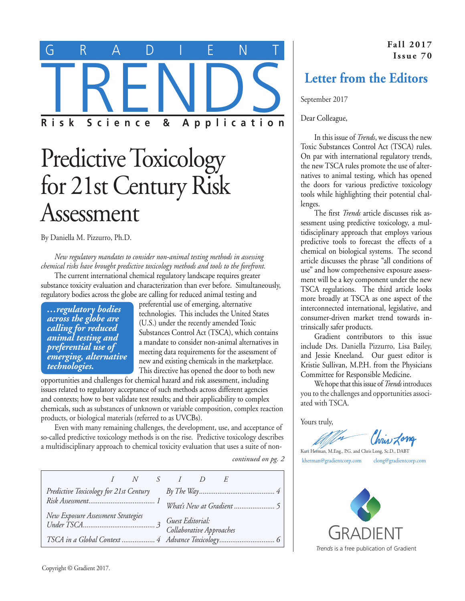

## Predictive Toxicology for 21st Century Risk Assessment

By Daniella M. Pizzurro, Ph.D.

*New regulatory mandates to consider non-animal testing methods in assessing chemical risks have brought predictive toxicology methods and tools to the forefront.*

The current international chemical regulatory landscape requires greater substance toxicity evaluation and characterization than ever before. Simultaneously, regulatory bodies across the globe are calling for reduced animal testing and

*…regulatory bodies across the globe are calling for reduced animal testing and preferential use of emerging, alternative technologies.*

preferential use of emerging, alternative technologies. This includes the United States (U.S.) under the recently amended Toxic Substances Control Act (TSCA), which contains a mandate to consider non-animal alternatives in meeting data requirements for the assessment of new and existing chemicals in the marketplace. This directive has opened the door to both new

opportunities and challenges for chemical hazard and risk assessment, including issues related to regulatory acceptance of such methods across different agencies and contexts; how to best validate test results; and their applicability to complex chemicals, such as substances of unknown or variable composition, complex reaction products, or biological materials (referred to as UVCBs).

Even with many remaining challenges, the development, use, and acceptance of so-called predictive toxicology methods is on the rise. Predictive toxicology describes a multidisciplinary approach to chemical toxicity evaluation that uses a suite of non-

*continued on pg. 2*

|                                        |  |  |  | $I \quad N \quad S \quad I \quad D$          |  |  |  |
|----------------------------------------|--|--|--|----------------------------------------------|--|--|--|
| Predictive Toxicology for 21st Century |  |  |  |                                              |  |  |  |
|                                        |  |  |  |                                              |  |  |  |
| New Exposure Assessment Strategies     |  |  |  | Guest Editorial:<br>Collaborative Approaches |  |  |  |
|                                        |  |  |  |                                              |  |  |  |

**Fall 2017 Issue 70**

### **Letter from the Editors**

September 2017

Dear Colleague,

In this issue of *Trends*, we discuss the new Toxic Substances Control Act (TSCA) rules. On par with international regulatory trends, the new TSCA rules promote the use of alternatives to animal testing, which has opened the doors for various predictive toxicology tools while highlighting their potential challenges.

The first *Trends* article discusses risk assessment using predictive toxicology, a multidisciplinary approach that employs various predictive tools to forecast the effects of a chemical on biological systems. The second article discusses the phrase "all conditions of use" and how comprehensive exposure assessment will be a key component under the new TSCA regulations. The third article looks more broadly at TSCA as one aspect of the interconnected international, legislative, and consumer-driven market trend towards intrinsically safer products.

Gradient contributors to this issue include Drs. Daniella Pizzurro, Lisa Bailey, and Jessie Kneeland. Our guest editor is Kristie Sullivan, M.P.H. from the Physicians Committee for Responsible Medicine.

We hope that this issue of *Trends* introduces you to the challenges and opportunities associated with TSCA.

Yours truly,

Chris Long

Kurt Herman, M.Eng., P.G. and Chris Long, Sc.D., DABT [kherman@gradientcorp.com](mailto:kherman@gradientcorp.com) [clong@gradientcorp.com](mailto:clong@gradientcorp.com)

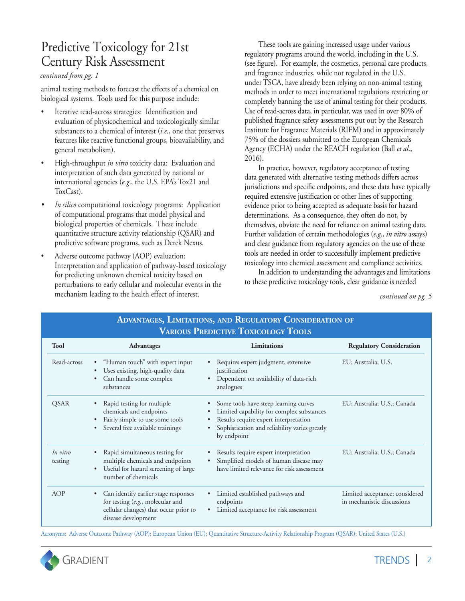## Predictive Toxicology for 21st Century Risk Assessment

#### *continued from pg. 1*

animal testing methods to forecast the effects of a chemical on biological systems. Tools used for this purpose include:

- Iterative read-across strategies: Identification and evaluation of physicochemical and toxicologically similar substances to a chemical of interest (*i.e.*, one that preserves features like reactive functional groups, bioavailability, and general metabolism).
- High-throughput *in vitro* toxicity data: Evaluation and interpretation of such data generated by national or international agencies (*e.g*., the U.S. EPA's Tox21 and ToxCast).
- *In silico* computational toxicology programs: Application of computational programs that model physical and biological properties of chemicals. These include quantitative structure activity relationship (QSAR) and predictive software programs, such as Derek Nexus.
- Adverse outcome pathway (AOP) evaluation: Interpretation and application of pathway-based toxicology for predicting unknown chemical toxicity based on perturbations to early cellular and molecular events in the mechanism leading to the health effect of interest. *continued on pg. 5*

These tools are gaining increased usage under various regulatory programs around the world, including in the U.S. (see figure). For example, the cosmetics, personal care products, and fragrance industries, while not regulated in the U.S. under TSCA, have already been relying on non-animal testing methods in order to meet international regulations restricting or completely banning the use of animal testing for their products. Use of read-across data, in particular, was used in over 80% of published fragrance safety assessments put out by the Research Institute for Fragrance Materials (RIFM) and in approximately 75% of the dossiers submitted to the European Chemicals Agency (ECHA) under the REACH regulation (Ball *et al*., 2016).

In practice, however, regulatory acceptance of testing data generated with alternative testing methods differs across jurisdictions and specific endpoints, and these data have typically required extensive justification or other lines of supporting evidence prior to being accepted as adequate basis for hazard determinations. As a consequence, they often do not, by themselves, obviate the need for reliance on animal testing data. Further validation of certain methodologies (*e.g*., *in vitro* assays) and clear guidance from regulatory agencies on the use of these tools are needed in order to successfully implement predictive toxicology into chemical assessment and compliance activities.

In addition to understanding the advantages and limitations to these predictive toxicology tools, clear guidance is needed

| <b>VARIOUS PREDICTIVE TOXICOLOGY TOOLS</b> |                                                                                                                                                             |                                                                                                                                                                                             |                                                              |  |  |  |  |  |
|--------------------------------------------|-------------------------------------------------------------------------------------------------------------------------------------------------------------|---------------------------------------------------------------------------------------------------------------------------------------------------------------------------------------------|--------------------------------------------------------------|--|--|--|--|--|
| <b>Tool</b>                                | <b>Advantages</b>                                                                                                                                           | <b>Limitations</b>                                                                                                                                                                          | <b>Regulatory Consideration</b>                              |  |  |  |  |  |
| Read-across                                | "Human touch" with expert input<br>Uses existing, high-quality data<br>Can handle some complex<br>substances                                                | Requires expert judgment, extensive<br>justification<br>Dependent on availability of data-rich<br>analogues                                                                                 | EU; Australia; U.S.                                          |  |  |  |  |  |
| <b>QSAR</b>                                | Rapid testing for multiple<br>chemicals and endpoints<br>Fairly simple to use some tools<br>Several free available trainings                                | Some tools have steep learning curves<br>Limited capability for complex substances<br>Results require expert interpretation<br>Sophistication and reliability varies greatly<br>by endpoint | EU; Australia; U.S.; Canada                                  |  |  |  |  |  |
| In vitro<br>testing                        | Rapid simultaneous testing for<br>$\bullet$<br>multiple chemicals and endpoints<br>Useful for hazard screening of large<br>$\bullet$<br>number of chemicals | Results require expert interpretation<br>٠<br>Simplified models of human disease may<br>$\bullet$<br>have limited relevance for risk assessment                                             | EU; Australia; U.S.; Canada                                  |  |  |  |  |  |
| <b>AOP</b>                                 | Can identify earlier stage responses<br>$\bullet$<br>for testing (e.g., molecular and<br>cellular changes) that occur prior to<br>disease development       | Limited established pathways and<br>endpoints<br>Limited acceptance for risk assessment                                                                                                     | Limited acceptance; considered<br>in mechanistic discussions |  |  |  |  |  |

## **Advantages, Limitations, and Regulatory Consideration of**

Acronyms: Adverse Outcome Pathway (AOP); European Union (EU); Quantitative Structure-Activity Relationship Program (QSAR); United States (U.S.)

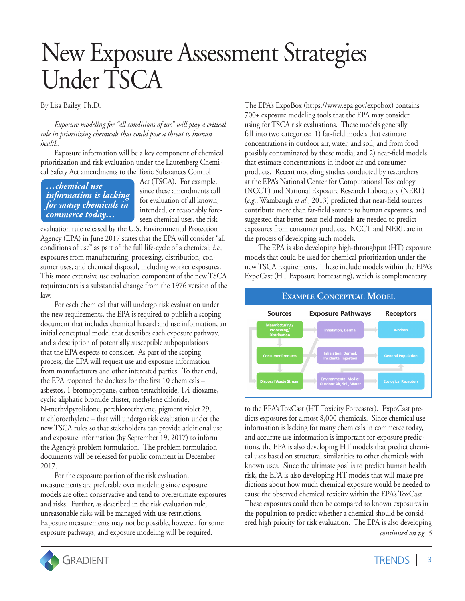# New Exposure Assessment Strategies Under TSCA

By Lisa Bailey, Ph.D.

*Exposure modeling for "all conditions of use" will play a critical role in prioritizing chemicals that could pose a threat to human health.*

Exposure information will be a key component of chemical prioritization and risk evaluation under the Lautenberg Chemical Safety Act amendments to the Toxic Substances Control

*…chemical use information is lacking for many chemicals in commerce today…*

Act (TSCA). For example, since these amendments call for evaluation of all known, intended, or reasonably foreseen chemical uses, the risk

evaluation rule released by the U.S. Environmental Protection Agency (EPA) in June 2017 states that the EPA will consider "all conditions of use" as part of the full life-cycle of a chemical; *i.e*., exposures from manufacturing, processing, distribution, consumer uses, and chemical disposal, including worker exposures. This more extensive use evaluation component of the new TSCA requirements is a substantial change from the 1976 version of the law.

For each chemical that will undergo risk evaluation under the new requirements, the EPA is required to publish a scoping document that includes chemical hazard and use information, an initial conceptual model that describes each exposure pathway, and a description of potentially susceptible subpopulations that the EPA expects to consider. As part of the scoping process, the EPA will request use and exposure information from manufacturers and other interested parties. To that end, the EPA reopened the dockets for the first 10 chemicals – asbestos, 1-bromopropane, carbon tetrachloride, 1,4-dioxame, cyclic aliphatic bromide cluster, methylene chloride, N-methylpyrolidone, perchloroethylene, pigment violet 29, trichloroethylene – that will undergo risk evaluation under the new TSCA rules so that stakeholders can provide additional use and exposure information (by September 19, 2017) to inform the Agency's problem formulation. The problem formulation documents will be released for public comment in December 2017.

For the exposure portion of the risk evaluation, measurements are preferable over modeling since exposure models are often conservative and tend to overestimate exposures and risks. Further, as described in the risk evaluation rule, unreasonable risks will be managed with use restrictions. Exposure measurements may not be possible, however, for some exposure pathways, and exposure modeling will be required.

The EPA's ExpoBox (https://www.epa.gov/expobox) contains 700+ exposure modeling tools that the EPA may consider using for TSCA risk evaluations. These models generally fall into two categories: 1) far-field models that estimate concentrations in outdoor air, water, and soil, and from food possibly contaminated by these media; and 2) near-field models that estimate concentrations in indoor air and consumer products. Recent modeling studies conducted by researchers at the EPA's National Center for Computational Toxicology (NCCT) and National Exposure Research Laboratory (NERL) (*e.g*., Wambaugh *et al*., 2013) predicted that near-field sources contribute more than far-field sources to human exposures, and suggested that better near-field models are needed to predict exposures from consumer products. NCCT and NERL are in the process of developing such models.

The EPA is also developing high-throughput (HT) exposure models that could be used for chemical prioritization under the new TSCA requirements. These include models within the EPA's ExpoCast (HT Exposure Forecasting), which is complementary



*continued on pg. 6* to the EPA's ToxCast (HT Toxicity Forecaster). ExpoCast predicts exposures for almost 8,000 chemicals. Since chemical use information is lacking for many chemicals in commerce today, and accurate use information is important for exposure predictions, the EPA is also developing HT models that predict chemical uses based on structural similarities to other chemicals with known uses. Since the ultimate goal is to predict human health risk, the EPA is also developing HT models that will make predictions about how much chemical exposure would be needed to cause the observed chemical toxicity within the EPA's ToxCast. These exposures could then be compared to known exposures in the population to predict whether a chemical should be considered high priority for risk evaluation. The EPA is also developing

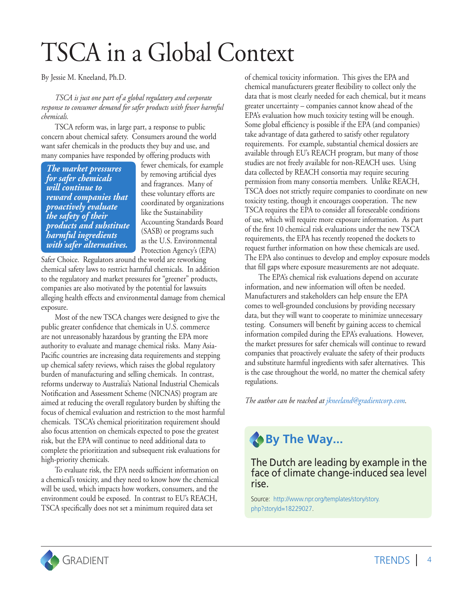# TSCA in a Global Context

By Jessie M. Kneeland, Ph.D.

*TSCA is just one part of a global regulatory and corporate response to consumer demand for safer products with fewer harmful chemicals.*

TSCA reform was, in large part, a response to public concern about chemical safety. Consumers around the world want safer chemicals in the products they buy and use, and many companies have responded by offering products with

*The market pressures for safer chemicals will continue to reward companies that proactively evaluate the safety of their products and substitute harmful ingredients with safer alternatives.* 

fewer chemicals, for example by removing artificial dyes and fragrances. Many of these voluntary efforts are coordinated by organizations like the Sustainability Accounting Standards Board (SASB) or programs such as the U.S. Environmental Protection Agency's (EPA)

Safer Choice. Regulators around the world are reworking chemical safety laws to restrict harmful chemicals. In addition to the regulatory and market pressures for "greener" products, companies are also motivated by the potential for lawsuits alleging health effects and environmental damage from chemical exposure.

Most of the new TSCA changes were designed to give the public greater confidence that chemicals in U.S. commerce are not unreasonably hazardous by granting the EPA more authority to evaluate and manage chemical risks. Many Asia-Pacific countries are increasing data requirements and stepping up chemical safety reviews, which raises the global regulatory burden of manufacturing and selling chemicals. In contrast, reforms underway to Australia's National Industrial Chemicals Notification and Assessment Scheme (NICNAS) program are aimed at reducing the overall regulatory burden by shifting the focus of chemical evaluation and restriction to the most harmful chemicals. TSCA's chemical prioritization requirement should also focus attention on chemicals expected to pose the greatest risk, but the EPA will continue to need additional data to complete the prioritization and subsequent risk evaluations for high-priority chemicals.

To evaluate risk, the EPA needs sufficient information on a chemical's toxicity, and they need to know how the chemical will be used, which impacts how workers, consumers, and the environment could be exposed. In contrast to EU's REACH, TSCA specifically does not set a minimum required data set

of chemical toxicity information. This gives the EPA and chemical manufacturers greater flexibility to collect only the data that is most clearly needed for each chemical, but it means greater uncertainty – companies cannot know ahead of the EPA's evaluation how much toxicity testing will be enough. Some global efficiency is possible if the EPA (and companies) take advantage of data gathered to satisfy other regulatory requirements. For example, substantial chemical dossiers are available through EU's REACH program, but many of those studies are not freely available for non-REACH uses. Using data collected by REACH consortia may require securing permission from many consortia members. Unlike REACH, TSCA does not strictly require companies to coordinate on new toxicity testing, though it encourages cooperation. The new TSCA requires the EPA to consider all foreseeable conditions of use, which will require more exposure information. As part of the first 10 chemical risk evaluations under the new TSCA requirements, the EPA has recently reopened the dockets to request further information on how these chemicals are used. The EPA also continues to develop and employ exposure models that fill gaps where exposure measurements are not adequate.

The EPA's chemical risk evaluations depend on accurate information, and new information will often be needed. Manufacturers and stakeholders can help ensure the EPA comes to well-grounded conclusions by providing necessary data, but they will want to cooperate to minimize unnecessary testing. Consumers will benefit by gaining access to chemical information compiled during the EPA's evaluations. However, the market pressures for safer chemicals will continue to reward companies that proactively evaluate the safety of their products and substitute harmful ingredients with safer alternatives. This is the case throughout the world, no matter the chemical safety regulations.

*The author can be reached at [jkneeland@gradientcorp.com.](mailto:jkneeland@gradientcorp.com)*

## **By The Way...**

The Dutch are leading by example in the face of climate change-induced sea level rise.

Source: [http://www.npr.org/templates/story/story.](http://www.npr.org/templates/story/story.php?storyId=18229027) [php?storyId=18229027.](http://www.npr.org/templates/story/story.php?storyId=18229027)

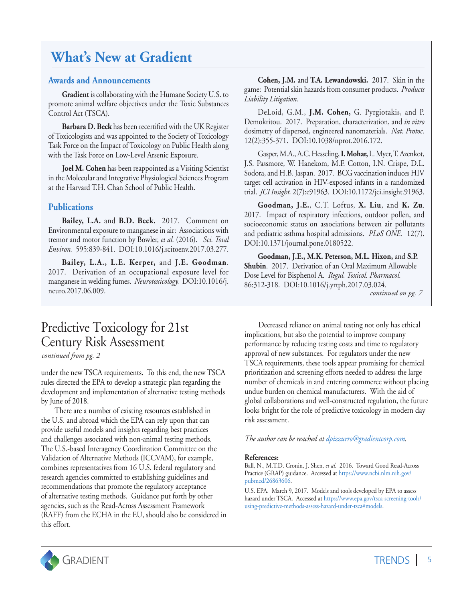## **What's New at Gradient**

#### **Awards and Announcements**

**Gradient** is collaborating with the Humane Society U.S. to promote animal welfare objectives under the Toxic Substances Control Act (TSCA).

**Barbara D. Beck** has been recertified with the UK Register of Toxicologists and was appointed to the Society of Toxicology Task Force on the Impact of Toxicology on Public Health along with the Task Force on Low-Level Arsenic Exposure.

**Joel M. Cohen** has been reappointed as a Visiting Scientist in the Molecular and Integrative Physiological Sciences Program at the Harvard T.H. Chan School of Public Health.

#### **Publications**

**Bailey, L.A.** and **B.D. Beck.** 2017. Comment on Environmental exposure to manganese in air: Associations with tremor and motor function by Bowler, *et al.* (2016). *Sci. Total Environ.* 595:839-841. DOI:10.1016/j.scitoenv.2017.03.277.

**Bailey, L.A., L.E. Kerper,** and **J.E. Goodman**. 2017. Derivation of an occupational exposure level for manganese in welding fumes. *Neurotoxicology.* DOI:10.1016/j. neuro.2017.06.009.

## Predictive Toxicology for 21st Century Risk Assessment

*continued from pg. 2*

under the new TSCA requirements. To this end, the new TSCA rules directed the EPA to develop a strategic plan regarding the development and implementation of alternative testing methods by June of 2018.

There are a number of existing resources established in the U.S. and abroad which the EPA can rely upon that can provide useful models and insights regarding best practices and challenges associated with non-animal testing methods. The U.S.-based Interagency Coordination Committee on the Validation of Alternative Methods (ICCVAM), for example, combines representatives from 16 U.S. federal regulatory and research agencies committed to establishing guidelines and recommendations that promote the regulatory acceptance of alternative testing methods. Guidance put forth by other agencies, such as the Read-Across Assessment Framework (RAFF) from the ECHA in the EU, should also be considered in this effort.

**Cohen, J.M.** and **T.A. Lewandowski.** 2017. Skin in the game: Potential skin hazards from consumer products. *Products Liability Litigation.* 

DeLoid, G.M., **J.M. Cohen,** G. Pyrgiotakis, and P. Demokritou. 2017. Preparation, characterization, and *in vitro* dosimetry of dispersed, engineered nanomaterials. *Nat. Protoc.* 12(2):355-371. DOI:10.1038/nprot.2016.172.

Gasper, M.A., A.C. Hesseling, **I.Mohar,** L. Myer, T. Azenkot, J.S. Passmore, W. Hanekom, M.F. Cotton, I.N. Crispe, D.L. Sodora, and H.B. Jaspan. 2017. BCG vaccination induces HIV target cell activation in HIV-exposed infants in a randomized trial. *JCI Insight.* 2(7):e91963. DOI:10.1172/jci.insight.91963.

**Goodman, J.E.**, C.T. Loftus, **X. Liu**, and **K. Zu**. 2017. Impact of respiratory infections, outdoor pollen, and socioeconomic status on associations between air pollutants and pediatric asthma hospital admissions. *PLoS ONE.* 12(7). DOI:10.1371/journal.pone.0180522.

**Goodman, J.E., M.K. Peterson, M.L. Hixon,** and **S.P. Shubin**. 2017. Derivation of an Oral Maximum Allowable Dose Level for Bisphenol A. *Regul. Toxicol. Pharmacol.* 86:312-318. DOI:10.1016/j.yrtph.2017.03.024.

*continued on pg. 7*

Decreased reliance on animal testing not only has ethical implications, but also the potential to improve company performance by reducing testing costs and time to regulatory approval of new substances. For regulators under the new TSCA requirements, these tools appear promising for chemical prioritization and screening efforts needed to address the large number of chemicals in and entering commerce without placing undue burden on chemical manufacturers. With the aid of global collaborations and well-constructed regulation, the future looks bright for the role of predictive toxicology in modern day risk assessment.

*The author can be reached at [dpizzurro@gradientcorp.com.](mailto:dpizzurro@gradientcorp.com)*

#### **References:**

Ball, N., M.T.D. Cronin, J. Shen, *et al*. 2016. Toward Good Read-Across Practice (GRAP) guidance. Accessed a[t https://www.ncbi.nlm.nih.gov/](https://www.ncbi.nlm.nih.gov/pubmed/26863606) [pubmed/26863606.](https://www.ncbi.nlm.nih.gov/pubmed/26863606)

U.S. EPA. March 9, 2017. Models and tools developed by EPA to assess hazard under TSCA. Accessed a[t https://www.epa.gov/tsca-screening-tools/](https://www.epa.gov/tsca-screening-tools/using-predictive-methods-assess-hazard-under-tsca#models.) [using-predictive-methods-assess-hazard-under-tsca#models.](https://www.epa.gov/tsca-screening-tools/using-predictive-methods-assess-hazard-under-tsca#models.) 

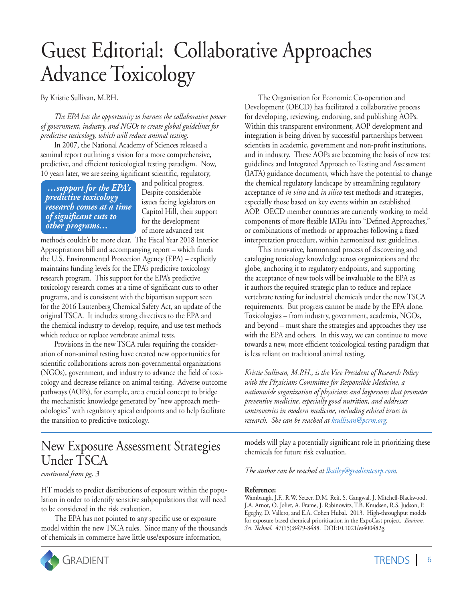## Guest Editorial: Collaborative Approaches Advance Toxicology

By Kristie Sullivan, M.P.H.

*The EPA has the opportunity to harness the collaborative power of government, industry, and NGOs to create global guidelines for predictive toxicology, which will reduce animal testing.*

In 2007, the National Academy of Sciences released a seminal report outlining a vision for a more comprehensive, predictive, and efficient toxicological testing paradigm. Now, 10 years later, we are seeing significant scientific, regulatory,

 *…support for the EPA's predictive toxicology research comes at a time of significant cuts to other programs…*

and political progress. Despite considerable issues facing legislators on Capitol Hill, their support for the development of more advanced test

methods couldn't be more clear. The Fiscal Year 2018 Interior Appropriations bill and accompanying report – which funds the U.S. Environmental Protection Agency (EPA) – explicitly maintains funding levels for the EPA's predictive toxicology research program. This support for the EPA's predictive toxicology research comes at a time of significant cuts to other programs, and is consistent with the bipartisan support seen for the 2016 Lautenberg Chemical Safety Act, an update of the original TSCA. It includes strong directives to the EPA and the chemical industry to develop, require, and use test methods which reduce or replace vertebrate animal tests.

Provisions in the new TSCA rules requiring the consideration of non-animal testing have created new opportunities for scientific collaborations across non-governmental organizations (NGOs), government, and industry to advance the field of toxicology and decrease reliance on animal testing. Adverse outcome pathways (AOPs), for example, are a crucial concept to bridge the mechanistic knowledge generated by "new approach methodologies" with regulatory apical endpoints and to help facilitate the transition to predictive toxicology.

### New Exposure Assessment Strategies Under TSCA

*continued from pg. 3*

HT models to predict distributions of exposure within the population in order to identify sensitive subpopulations that will need to be considered in the risk evaluation.

The EPA has not pointed to any specific use or exposure model within the new TSCA rules. Since many of the thousands of chemicals in commerce have little use/exposure information,



The Organisation for Economic Co-operation and Development (OECD) has facilitated a collaborative process for developing, reviewing, endorsing, and publishing AOPs. Within this transparent environment, AOP development and integration is being driven by successful partnerships between scientists in academic, government and non-profit institutions, and in industry. These AOPs are becoming the basis of new test guidelines and Integrated Approach to Testing and Assessment (IATA) guidance documents, which have the potential to change the chemical regulatory landscape by streamlining regulatory acceptance of *in vitro* and *in silico* test methods and strategies, especially those based on key events within an established AOP. OECD member countries are currently working to meld components of more flexible IATAs into "Defined Approaches," or combinations of methods or approaches following a fixed interpretation procedure, within harmonized test guidelines.

This innovative, harmonized process of discovering and cataloging toxicology knowledge across organizations and the globe, anchoring it to regulatory endpoints, and supporting the acceptance of new tools will be invaluable to the EPA as it authors the required strategic plan to reduce and replace vertebrate testing for industrial chemicals under the new TSCA requirements. But progress cannot be made by the EPA alone. Toxicologists – from industry, government, academia, NGOs, and beyond – must share the strategies and approaches they use with the EPA and others. In this way, we can continue to move towards a new, more efficient toxicological testing paradigm that is less reliant on traditional animal testing.

*Kristie Sullivan, M.P.H., is the Vice President of Research Policy with the Physicians Committee for Responsible Medicine, a nationwide organization of physicians and laypersons that promotes preventive medicine, especially good nutrition, and addresses controversies in modern medicine, including ethical issues in research. She can be reached a[t ksullivan@pcrm.org](mailto:ksullivan@pcrm.org)*.

models will play a potentially significant role in prioritizing these chemicals for future risk evaluation.

*The author can be reached at [lbailey@gradientcorp.com.](mailto:lbailey@gradientcorp.com)*

#### **Reference:**

Wambaugh, J.F., R.W. Setzer, D.M. Reif, S. Gangwal, J. Mitchell-Blackwood, J.A. Arnot, O. Joliet, A. Frame, J. Rabinowitz, T.B. Knudsen, R.S. Judson, P. Egeghy, D. Vallero, and E.A. Cohen Hubal. 2013. High-throughput models for exposure-based chemical prioritization in the ExpoCast project. *Environ. Sci. Technol.* 47(15):8479-8488. DOI:10.1021/es400482g.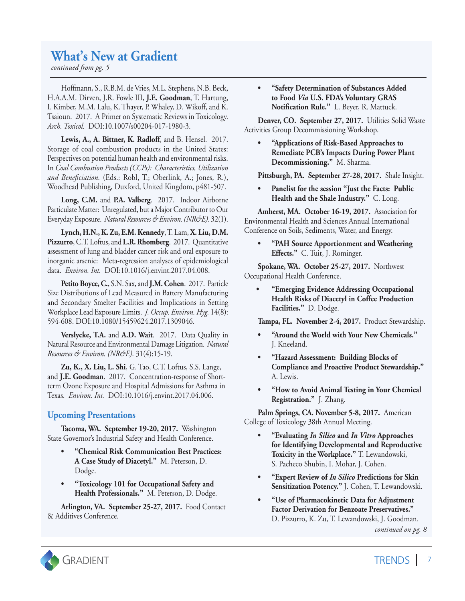## **What's New at Gradient**

*continued from pg. 5*

Hoffmann, S., R.B.M. de Vries, M.L. Stephens, N.B. Beck, H.A.A.M. Dirven, J.R. Fowle III, **J.E. Goodman**, T. Hartung, I. Kimber, M.M. Lalu, K. Thayer, P. Whaley, D. Wikoff, and K. Tsaioun. 2017. A Primer on Systematic Reviews in Toxicology. *Arch. Toxicol.* DOI:10.1007/s00204-017-1980-3.

**Lewis, A., A. Bittner, K. Radloff**, and B. Hensel. 2017. Storage of coal combustion products in the United States: Perspectives on potential human health and environmental risks. In *Coal Combustion Products (CCPs): Characteristics, Utilization and Beneficiation.* (Eds.: Robl, T.; Oberlink, A.; Jones, R.), Woodhead Publishing, Duxford, United Kingdom, p481-507.

**Long, C.M.** and **P.A. Valberg**. 2017. Indoor Airborne Particulate Matter: Unregulated, but a Major Contributor to Our Everyday Exposure. *Natural Resources & Environ. (NR&E)*. 32(1).

**Lynch, H.N., K. Zu, E.M. Kennedy**, T. Lam, **X. Liu, D.M. Pizzurro**, C.T. Loftus, and **L.R. Rhomberg**. 2017. Quantitative assessment of lung and bladder cancer risk and oral exposure to inorganic arsenic: Meta-regression analyses of epidemiological data. *Environ. Int.* DOI:10.1016/j.envint.2017.04.008.

**Petito Boyce, C.**, S.N. Sax, and **J.M. Cohen**. 2017. Particle Size Distributions of Lead Measured in Battery Manufacturing and Secondary Smelter Facilities and Implications in Setting Workplace Lead Exposure Limits. *J. Occup. Environ. Hyg.* 14(8): 594-608. DOI:10.1080/15459624.2017.1309046.

**Verslycke, T.A.** and **A.D. Wait**. 2017. Data Quality in Natural Resource and Environmental Damage Litigation. *Natural Resources & Environ. (NR&E)*. 31(4):15-19.

**Zu, K., X. Liu, L. Shi**, G. Tao, C.T. Loftus, S.S. Lange, and **J.E. Goodman**. 2017. Concentration-response of Shortterm Ozone Exposure and Hospital Admissions for Asthma in Texas. *Environ. Int.* DOI:10.1016/j.envint.2017.04.006.

#### **Upcoming Presentations**

**Tacoma, WA. September 19-20, 2017.** Washington State Governor's Industrial Safety and Health Conference.

- **• "Chemical Risk Communication Best Practices: A Case Study of Diacetyl."** M. Peterson, D. Dodge.
- **• "Toxicology 101 for Occupational Safety and Health Professionals."** M. Peterson, D. Dodge.

**Arlington, VA. September 25-27, 2017.** Food Contact & Additives Conference.

**• "Safety Determination of Substances Added to Food** *Via* **U.S. FDA's Voluntary GRAS Notification Rule."** L. Beyer, R. Mattuck.

**Denver, CO. September 27, 2017.** Utilities Solid Waste Activities Group Decommissioning Workshop.

**• "Applications of Risk-Based Approaches to Remediate PCB's Impacts During Power Plant Decommissioning."** M. Sharma.

**Pittsburgh, PA. September 27-28, 2017.** Shale Insight.

**• Panelist for the session "Just the Facts: Public Health and the Shale Industry."** C. Long.

**Amherst, MA. October 16-19, 2017.** Association for Environmental Health and Sciences Annual International Conference on Soils, Sediments, Water, and Energy.

**• "PAH Source Apportionment and Weathering Effects."** C. Tuit, J. Rominger.

**Spokane, WA. October 25-27, 2017.** Northwest Occupational Health Conference.

**• "Emerging Evidence Addressing Occupational Health Risks of Diacetyl in Coffee Production Facilities."** D. Dodge.

**Tampa, FL. November 2-4, 2017.** Product Stewardship.

- **• "Around the World with Your New Chemicals."** J. Kneeland.
- **• "Hazard Assessment: Building Blocks of Compliance and Proactive Product Stewardship."**  A. Lewis.
- **• "How to Avoid Animal Testing in Your Chemical Registration."** J. Zhang.

**Palm Springs, CA. November 5-8, 2017.** American College of Toxicology 38th Annual Meeting.

- **• "Evaluating** *In Silico* **and** *In Vitro* **Approaches for Identifying Developmental and Reproductive Toxicity in the Workplace."** T. Lewandowski, S. Pacheco Shubin, I. Mohar, J. Cohen.
- **• "Expert Review of** *In Silico* **Predictions for Skin Sensitization Potency."** J. Cohen, T. Lewandowski.
- **• "Use of Pharmacokinetic Data for Adjustment Factor Derivation for Benzoate Preservatives."**  D. Pizzurro, K. Zu, T. Lewandowski, J. Goodman.

*continued on pg. 8*